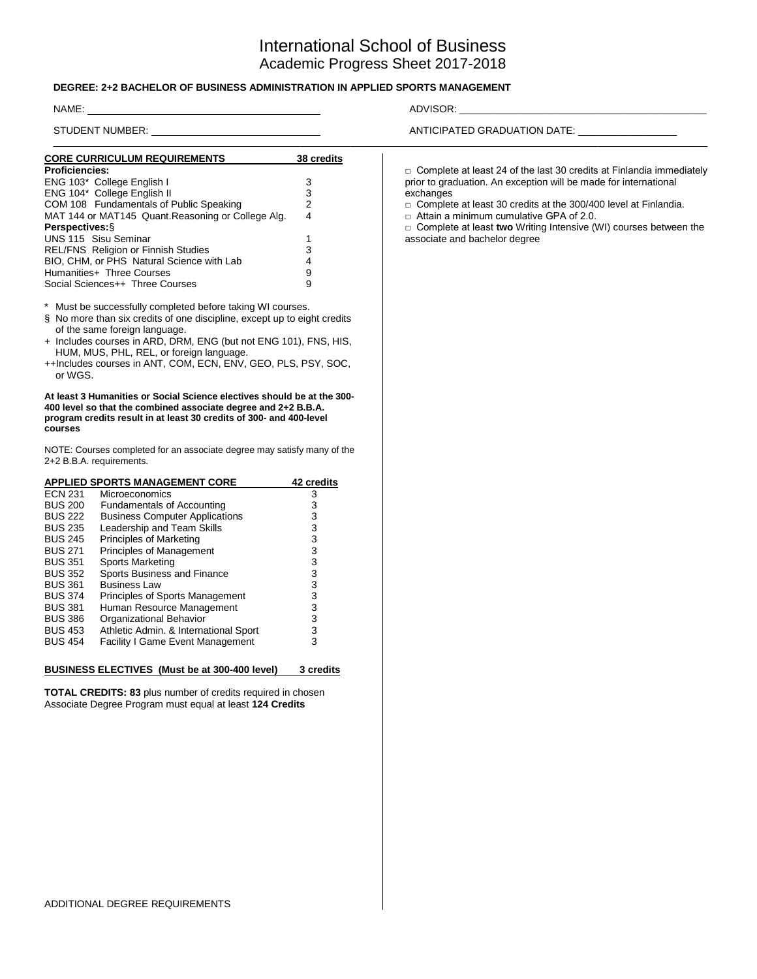# International School of Business Academic Progress Sheet 2017-2018

#### **DEGREE: 2+2 BACHELOR OF BUSINESS ADMINISTRATION IN APPLIED SPORTS MANAGEMENT**

#### NAME: ADVISOR: \_\_\_\_\_\_\_\_\_\_\_\_\_\_\_\_\_\_\_\_\_\_\_\_\_\_\_\_\_\_\_\_\_\_\_\_\_\_\_\_\_\_\_\_\_

STUDENT NUMBER: ANTICIPATED GRADUATION DATE: \_\_\_\_\_\_\_\_\_\_\_\_\_\_\_\_\_\_\_\_\_\_\_\_\_\_\_\_\_\_\_\_\_\_\_\_\_\_\_\_\_\_\_\_\_\_\_\_\_\_\_\_\_\_\_\_\_\_\_\_\_\_\_\_\_\_\_\_\_\_\_\_\_\_\_\_\_\_\_\_\_\_\_\_\_\_\_\_\_\_\_\_\_\_\_\_\_\_\_\_\_\_\_\_\_\_\_\_\_\_\_\_\_\_\_\_\_\_\_ **CORE CURRICULUM REQUIREMENTS 38 credits Proficiencies:** ENG 103\* College English I 3 ENG 104\* College English II COM 108 Fundamentals of Public Speaking 2<br>MAT 144 or MAT145 Quant. Reasoning or College Alg. 4 MAT 144 or MAT145 Quant.Reasoning or College Alg. **Perspectives:**§ UNS 115 Sisu Seminar 1 REL/FNS Religion or Finnish Studies 3 BIO, CHM, or PHS Natural Science with Lab 4 Humanities+ Three Courses<br>Social Sciences++ Three Courses 9 Social Sciences++ Three Courses \* Must be successfully completed before taking WI courses. § No more than six credits of one discipline, except up to eight credits of the same foreign language. + Includes courses in ARD, DRM, ENG (but not ENG 101), FNS, HIS, HUM, MUS, PHL, REL, or foreign language. ++Includes courses in ANT, COM, ECN, ENV, GEO, PLS, PSY, SOC, or WGS. **At least 3 Humanities or Social Science electives should be at the 300- 400 level so that the combined associate degree and 2+2 B.B.A. program credits result in at least 30 credits of 300- and 400-level courses** NOTE: Courses completed for an associate degree may satisfy many of the 2+2 B.B.A. requirements. **APPLIED SPORTS MANAGEMENT CORE 42 credits** □ Complete at least 24 of the last 30 credits at Finlandia immediately prior to graduation. An exception will be made for international exchanges □ Complete at least 30 credits at the 300/400 level at Finlandia. □ Attain a minimum cumulative GPA of 2.0. □ Complete at least **two** Writing Intensive (WI) courses between the associate and bachelor degree

|                | APPLIED SPORTS MANAGEMENT CORE          | <b>42 credits</b> |
|----------------|-----------------------------------------|-------------------|
| <b>ECN 231</b> | <b>Microeconomics</b>                   | 3                 |
| <b>BUS 200</b> | <b>Fundamentals of Accounting</b>       | 3                 |
| <b>BUS 222</b> | <b>Business Computer Applications</b>   | 3                 |
| <b>BUS 235</b> | Leadership and Team Skills              | 3                 |
| <b>BUS 245</b> | Principles of Marketing                 | 3                 |
| <b>BUS 271</b> | <b>Principles of Management</b>         | 3                 |
| <b>BUS 351</b> | Sports Marketing                        | 3                 |
| <b>BUS 352</b> | Sports Business and Finance             | 3                 |
| <b>BUS 361</b> | <b>Business Law</b>                     | 3                 |
| <b>BUS 374</b> | Principles of Sports Management         | 3                 |
| <b>BUS 381</b> | Human Resource Management               | 3                 |
| <b>BUS 386</b> | Organizational Behavior                 | 3                 |
| <b>BUS 453</b> | Athletic Admin. & International Sport   | 3                 |
| <b>BUS 454</b> | <b>Facility I Game Event Management</b> | 3                 |
|                |                                         |                   |
|                |                                         |                   |

# **BUSINESS ELECTIVES (Must be at 300-400 level) 3 credits**

**TOTAL CREDITS: 83** plus number of credits required in chosen Associate Degree Program must equal at least **124 Credits**